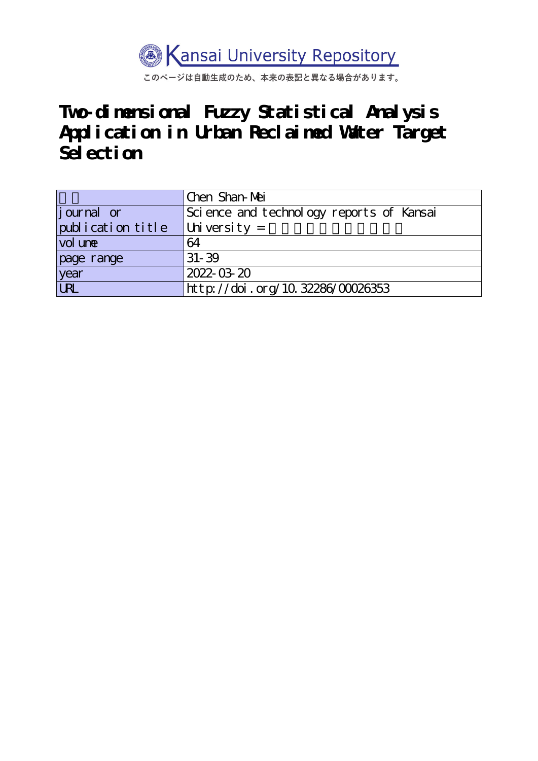

このページは自動生成のため、本来の表記と異なる場合があります。

**Two-dimensional Fuzzy Statistical Analysis Application in Urban Reclaimed Water Target Selection**

|                    | Chen Shan-Mei                            |
|--------------------|------------------------------------------|
| <i>j</i> ournal or | Science and technology reports of Kansai |
| publication title  | University $=$                           |
| vol une            | 64                                       |
| page range         | $31 - 39$                                |
| year               | 2022-03-20                               |
| URL                | http://doi.org/10.32286/00026353         |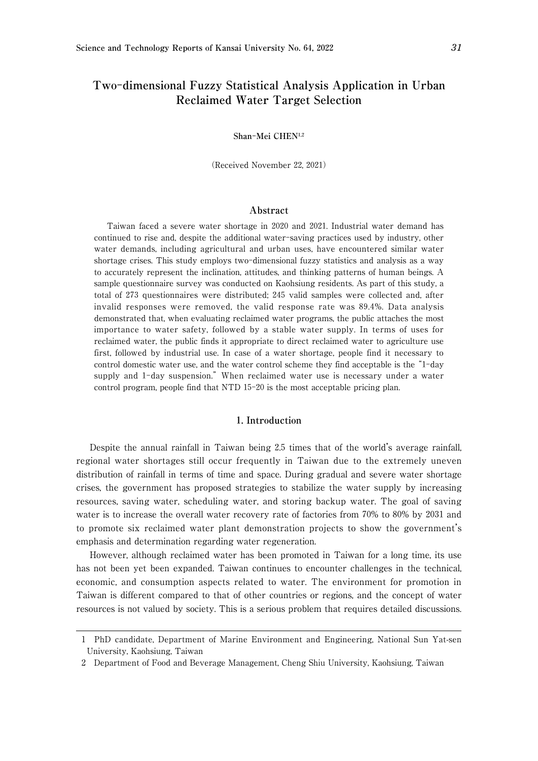# **Two**-**dimensional Fuzzy Statistical Analysis Application in Urban Reclaimed Water Target Selection**

#### **Shan**-**Mei CHEN**<sup>1</sup>**,**<sup>2</sup>

(Received November 22, 2021)

#### **Abstract**

Taiwan faced a severe water shortage in 2020 and 2021. Industrial water demand has continued to rise and, despite the additional water-saving practices used by industry, other water demands, including agricultural and urban uses, have encountered similar water shortage crises. This study employs two-dimensional fuzzy statistics and analysis as a way to accurately represent the inclination, attitudes, and thinking patterns of human beings. A sample questionnaire survey was conducted on Kaohsiung residents. As part of this study, a total of 273 questionnaires were distributed; 245 valid samples were collected and, after invalid responses were removed, the valid response rate was 89.4%. Data analysis demonstrated that, when evaluating reclaimed water programs, the public attaches the most importance to water safety, followed by a stable water supply. In terms of uses for reclaimed water, the public finds it appropriate to direct reclaimed water to agriculture use first, followed by industrial use. In case of a water shortage, people find it necessary to control domestic water use, and the water control scheme they find acceptable is the "1-day supply and 1-day suspension." When reclaimed water use is necessary under a water control program, people find that NTD 15-20 is the most acceptable pricing plan.

### 1**. Introduction**

Despite the annual rainfall in Taiwan being 2.5 times that of the world's average rainfall, regional water shortages still occur frequently in Taiwan due to the extremely uneven distribution of rainfall in terms of time and space. During gradual and severe water shortage crises, the government has proposed strategies to stabilize the water supply by increasing resources, saving water, scheduling water, and storing backup water. The goal of saving water is to increase the overall water recovery rate of factories from 70% to 80% by 2031 and to promote six reclaimed water plant demonstration projects to show the government's emphasis and determination regarding water regeneration.

However, although reclaimed water has been promoted in Taiwan for a long time, its use has not been yet been expanded. Taiwan continues to encounter challenges in the technical, economic, and consumption aspects related to water. The environment for promotion in Taiwan is different compared to that of other countries or regions, and the concept of water resources is not valued by society. This is a serious problem that requires detailed discussions.

<sup>1</sup> PhD candidate, Department of Marine Environment and Engineering, National Sun Yat-sen University, Kaohsiung, Taiwan

<sup>2</sup> Department of Food and Beverage Management, Cheng Shiu University, Kaohsiung, Taiwan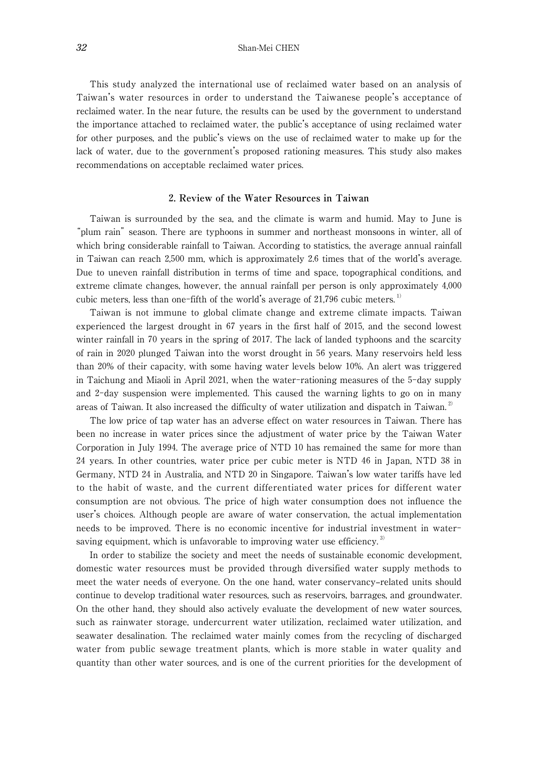This study analyzed the international use of reclaimed water based on an analysis of Taiwan's water resources in order to understand the Taiwanese people's acceptance of reclaimed water. In the near future, the results can be used by the government to understand the importance attached to reclaimed water, the public's acceptance of using reclaimed water for other purposes, and the public's views on the use of reclaimed water to make up for the lack of water, due to the government's proposed rationing measures. This study also makes recommendations on acceptable reclaimed water prices.

# 2**. Review of the Water Resources in Taiwan**

Taiwan is surrounded by the sea, and the climate is warm and humid. May to June is "plum rain" season. There are typhoons in summer and northeast monsoons in winter, all of which bring considerable rainfall to Taiwan. According to statistics, the average annual rainfall in Taiwan can reach 2,500 mm, which is approximately 2.6 times that of the world's average. Due to uneven rainfall distribution in terms of time and space, topographical conditions, and extreme climate changes, however, the annual rainfall per person is only approximately 4,000 cubic meters, less than one-fifth of the world's average of  $21,796$  cubic meters.<sup>1)</sup>

Taiwan is not immune to global climate change and extreme climate impacts. Taiwan experienced the largest drought in 67 years in the first half of 2015, and the second lowest winter rainfall in 70 years in the spring of 2017. The lack of landed typhoons and the scarcity of rain in 2020 plunged Taiwan into the worst drought in 56 years. Many reservoirs held less than 20% of their capacity, with some having water levels below 10%. An alert was triggered in Taichung and Miaoli in April 2021, when the water-rationing measures of the 5-day supply and 2-day suspension were implemented. This caused the warning lights to go on in many areas of Taiwan. It also increased the difficulty of water utilization and dispatch in Taiwan.<sup>2)</sup>

The low price of tap water has an adverse effect on water resources in Taiwan. There has been no increase in water prices since the adjustment of water price by the Taiwan Water Corporation in July 1994. The average price of NTD 10 has remained the same for more than 24 years. In other countries, water price per cubic meter is NTD 46 in Japan, NTD 38 in Germany, NTD 24 in Australia, and NTD 20 in Singapore. Taiwan's low water tariffs have led to the habit of waste, and the current differentiated water prices for different water consumption are not obvious. The price of high water consumption does not influence the user's choices. Although people are aware of water conservation, the actual implementation needs to be improved. There is no economic incentive for industrial investment in watersaving equipment, which is unfavorable to improving water use efficiency.<sup>3)</sup>

In order to stabilize the society and meet the needs of sustainable economic development, domestic water resources must be provided through diversified water supply methods to meet the water needs of everyone. On the one hand, water conservancy–related units should continue to develop traditional water resources, such as reservoirs, barrages, and groundwater. On the other hand, they should also actively evaluate the development of new water sources, such as rainwater storage, undercurrent water utilization, reclaimed water utilization, and seawater desalination. The reclaimed water mainly comes from the recycling of discharged water from public sewage treatment plants, which is more stable in water quality and quantity than other water sources, and is one of the current priorities for the development of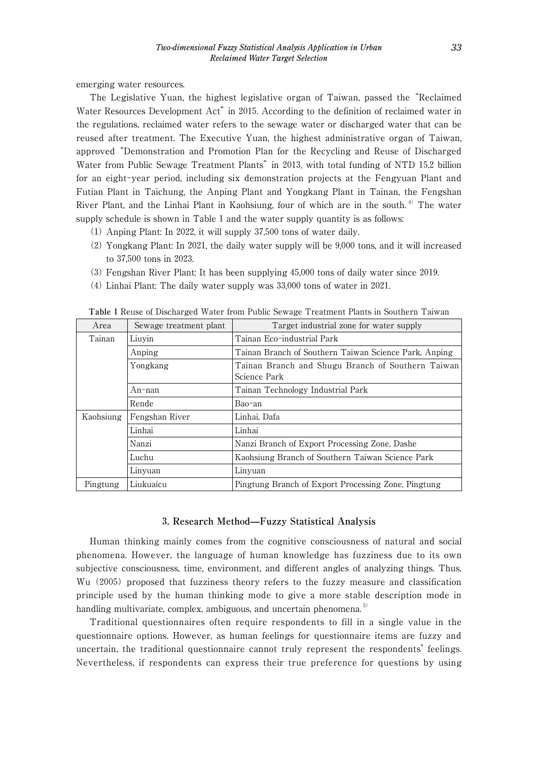emerging water resources.

The Legislative Yuan, the highest legislative organ of Taiwan, passed the "Reclaimed Water Resources Development Act" in 2015. According to the definition of reclaimed water in the regulations, reclaimed water refers to the sewage water or discharged water that can be reused after treatment. The Executive Yuan, the highest administrative organ of Taiwan, approved "Demonstration and Promotion Plan for the Recycling and Reuse of Discharged Water from Public Sewage Treatment Plants" in 2013, with total funding of NTD 15.2 billion for an eight-year period, including six demonstration projects at the Fengyuan Plant and Futian Plant in Taichung, the Anping Plant and Yongkang Plant in Tainan, the Fengshan River Plant, and the Linhai Plant in Kaohsiung, four of which are in the south. 4) The water supply schedule is shown in Table 1 and the water supply quantity is as follows:

- (1) Anping Plant: In 2022, it will supply 37,500 tons of water daily.
- (2) Yongkang Plant: In 2021, the daily water supply will be 9,000 tons, and it will increased to 37,500 tons in 2023.
- (3) Fengshan River Plant: It has been supplying 45,000 tons of daily water since 2019.
- (4) Linhai Plant: The daily water supply was 33,000 tons of water in 2021.

| Area      | Sewage treatment plant | Target industrial zone for water supply                           |
|-----------|------------------------|-------------------------------------------------------------------|
| Tainan    | Liuvin                 | Tainan Eco-industrial Park                                        |
|           | Anping                 | Tainan Branch of Southern Taiwan Science Park, Anping             |
|           | Yongkang               | Tainan Branch and Shugu Branch of Southern Taiwan<br>Science Park |
|           | An-nan                 | Tainan Technology Industrial Park                                 |
|           | Rende                  | Bao-an                                                            |
| Kaohsiung | Fengshan River         | Linhai, Dafa                                                      |
|           | Linhai                 | Linhai                                                            |
|           | Nanzi                  | Nanzi Branch of Export Processing Zone, Dashe                     |
|           | Luchu                  | Kaohsiung Branch of Southern Taiwan Science Park                  |
|           | Linyuan                | Linyuan                                                           |
| Pingtung  | Liukuaicu              | Pingtung Branch of Export Processing Zone, Pingtung               |

**Table** 1 Reuse of Discharged Water from Public Sewage Treatment Plants in Southern Taiwan

#### 3**. Research Method—Fuzzy Statistical Analysis**

Human thinking mainly comes from the cognitive consciousness of natural and social phenomena. However, the language of human knowledge has fuzziness due to its own subjective consciousness, time, environment, and different angles of analyzing things. Thus, Wu (2005) proposed that fuzziness theory refers to the fuzzy measure and classification principle used by the human thinking mode to give a more stable description mode in handling multivariate, complex, ambiguous, and uncertain phenomena.<sup>5)</sup>

Traditional questionnaires often require respondents to fill in a single value in the questionnaire options. However, as human feelings for questionnaire items are fuzzy and uncertain, the traditional questionnaire cannot truly represent the respondents' feelings. Nevertheless, if respondents can express their true preference for questions by using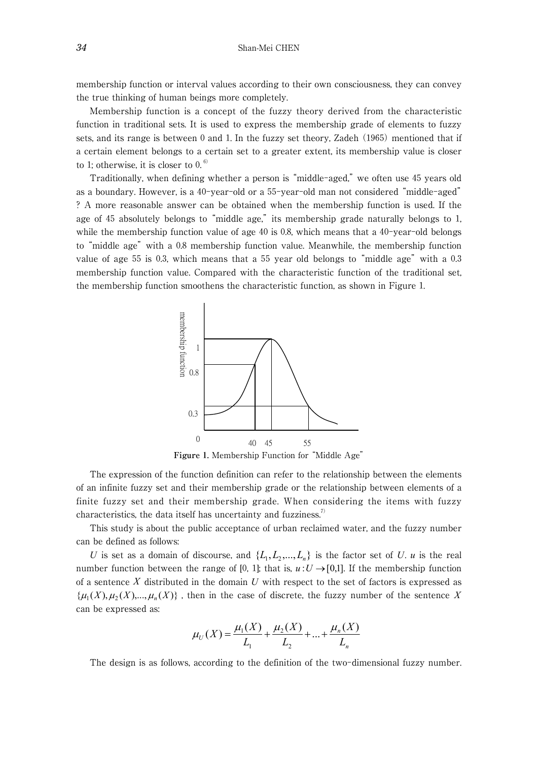membership function or interval values according to their own consciousness, they can convey the true thinking of human beings more completely.

Membership function is a concept of the fuzzy theory derived from the characteristic function in traditional sets. It is used to express the membership grade of elements to fuzzy sets, and its range is between 0 and 1. In the fuzzy set theory, Zadeh (1965) mentioned that if a certain element belongs to a certain set to a greater extent, its membership value is closer to 1; otherwise, it is closer to 0. $\degree$ 

Traditionally, when defining whether a person is "middle-aged," we often use 45 years old as a boundary. However, is a 40-year-old or a 55-year-old man not considered "middle-aged" ? A more reasonable answer can be obtained when the membership function is used. If the age of 45 absolutely belongs to "middle age," its membership grade naturally belongs to 1, while the membership function value of age 40 is 0.8, which means that a 40-year-old belongs to "middle age" with a 0.8 membership function value. Meanwhile, the membership function value of age 55 is 0.3, which means that a 55 year old belongs to "middle age" with a 0.3 membership function value. Compared with the characteristic function of the traditional set, the membership function smoothens the characteristic function, as shown in Figure 1.



**Figure** 1**.** Membership Function for "Middle Age"

The expression of the function definition can refer to the relationship between the elements of an infinite fuzzy set and their membership grade or the relationship between elements of a finite fuzzy set and their membership grade. When considering the items with fuzzy characteristics, the data itself has uncertainty and fuzziness.<sup>7)</sup>

This study is about the public acceptance of urban reclaimed water, and the fuzzy number can be defined as follows:

*U* is set as a domain of discourse, and  $\{L_1, L_2, ..., L_n\}$  is the factor set of *U*. *u* is the real number function between the range of [0, 1]; that is,  $u: U \rightarrow [0,1]$ . If the membership function of a sentence *X* distributed in the domain *U* with respect to the set of factors is expressed as  $\{\mu_1(X), \mu_2(X), ..., \mu_n(X)\}\$ , then in the case of discrete, the fuzzy number of the sentence X can be expressed as:

$$
\mu_U(X) = \frac{\mu_1(X)}{L_1} + \frac{\mu_2(X)}{L_2} + \dots + \frac{\mu_n(X)}{L_n}
$$

The design is as follows, according to the definition of the two-dimensional fuzzy number.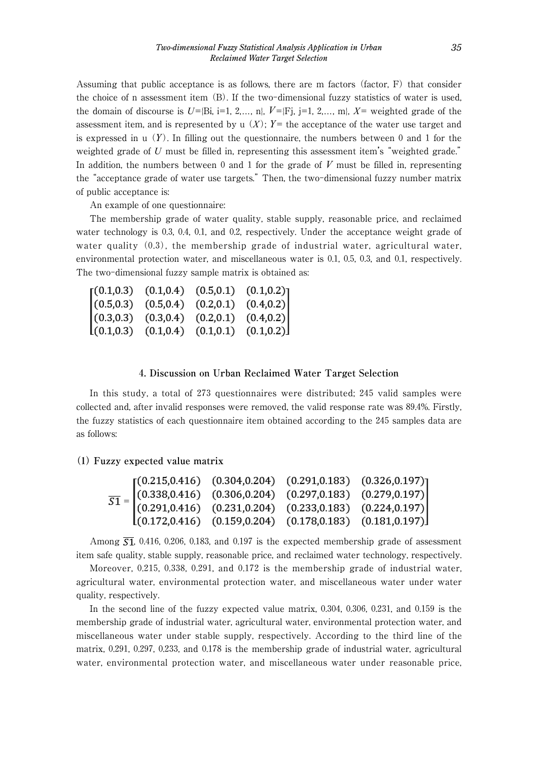Assuming that public acceptance is as follows, there are m factors (factor, F) that consider the choice of n assessment item (B). If the two-dimensional fuzzy statistics of water is used, the domain of discourse is  $U=[Bi, i=1, 2,..., n]$ ,  $V=[Fj, j=1, 2,..., m]$ ,  $X=$  weighted grade of the assessment item, and is represented by u  $(X)$ ;  $Y=$  the acceptance of the water use target and is expressed in  $\mu(Y)$ . In filling out the questionnaire, the numbers between 0 and 1 for the weighted grade of *U* must be filled in, representing this assessment item's "weighted grade." In addition, the numbers between 0 and 1 for the grade of *V* must be filled in, representing the "acceptance grade of water use targets." Then, the two-dimensional fuzzy number matrix of public acceptance is:

An example of one questionnaire:

The membership grade of water quality, stable supply, reasonable price, and reclaimed water technology is 0.3, 0.4, 0.1, and 0.2, respectively. Under the acceptance weight grade of water quality  $(0.3)$ , the membership grade of industrial water, agricultural water, environmental protection water, and miscellaneous water is 0.1, 0.5, 0.3, and 0.1, respectively. The two-dimensional fuzzy sample matrix is obtained as:

|            | $(0.1, 0.3)$ $(0.1, 0.4)$ $(0.5, 0.1)$ |                           | $(0.1, 0.2)$ ] |
|------------|----------------------------------------|---------------------------|----------------|
| (0.5, 0.3) | (0.5, 0.4)                             | (0.2, 0.1)                | (0.4, 0.2)     |
| (0.3, 0.3) | (0.3, 0.4)                             | (0.2, 0.1)                | (0.4, 0.2)     |
| (0.1, 0.3) |                                        | $(0.1, 0.4)$ $(0.1, 0.1)$ | (0.1, 0.2)     |

## 4**. Discussion on Urban Reclaimed Water Target Selection**

In this study, a total of 273 questionnaires were distributed; 245 valid samples were collected and, after invalid responses were removed, the valid response rate was 89.4%. Firstly, the fuzzy statistics of each questionnaire item obtained according to the 245 samples data are as follows:

(1) **Fuzzy expected value matrix**

|  | $\overline{S1} = \begin{bmatrix} (0.215, 0.416) & (0.304, 0.204) & (0.291, 0.183) & (0.326, 0.197) \\ (0.338, 0.416) & (0.306, 0.204) & (0.297, 0.183) & (0.279, 0.197) \\ (0.291, 0.416) & (0.231, 0.204) & (0.233, 0.183) & (0.224, 0.197) \\ (0.172, 0.416) & (0.159, 0.2$ |  |  |
|--|-------------------------------------------------------------------------------------------------------------------------------------------------------------------------------------------------------------------------------------------------------------------------------|--|--|
|  |                                                                                                                                                                                                                                                                               |  |  |
|  |                                                                                                                                                                                                                                                                               |  |  |

Among  $\overline{51}$ , 0.416, 0.206, 0.183, and 0.197 is the expected membership grade of assessment item safe quality, stable supply, reasonable price, and reclaimed water technology, respectively.

Moreover, 0.215, 0.338, 0.291, and 0.172 is the membership grade of industrial water, agricultural water, environmental protection water, and miscellaneous water under water quality, respectively.

In the second line of the fuzzy expected value matrix, 0.304, 0.306, 0.231, and 0.159 is the membership grade of industrial water, agricultural water, environmental protection water, and miscellaneous water under stable supply, respectively. According to the third line of the matrix, 0.291, 0.297, 0.233, and 0.178 is the membership grade of industrial water, agricultural water, environmental protection water, and miscellaneous water under reasonable price,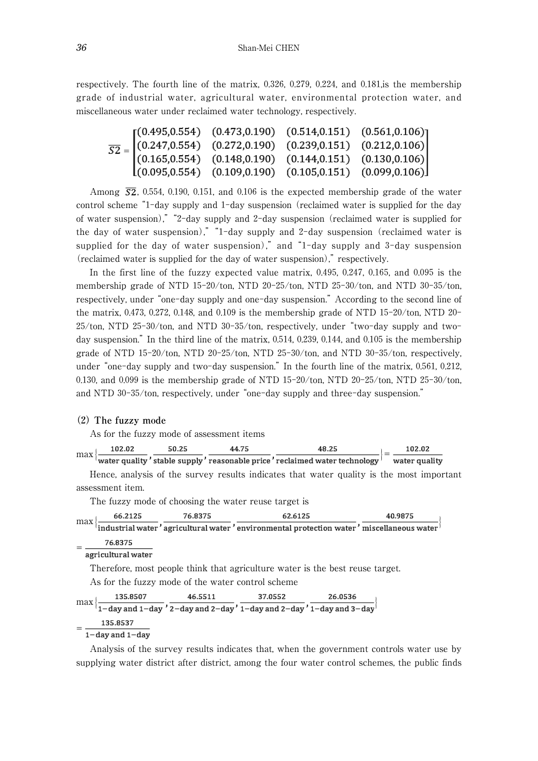respectively. The fourth line of the matrix, 0.326, 0.279, 0.224, and 0.181,is the membership grade of industrial water, agricultural water, environmental protection water, and miscellaneous water under reclaimed water technology, respectively.

$$
\overline{S2} = \begin{bmatrix}\n(0.495, 0.554) & (0.473, 0.190) & (0.514, 0.151) & (0.561, 0.106) \\
(0.247, 0.554) & (0.272, 0.190) & (0.239, 0.151) & (0.212, 0.106) \\
(0.165, 0.554) & (0.148, 0.190) & (0.144, 0.151) & (0.130, 0.106) \\
(0.095, 0.554) & (0.109, 0.190) & (0.105, 0.151) & (0.099, 0.106)\n\end{bmatrix}
$$

Among  $\overline{S2}$ , 0.554, 0.190, 0.151, and 0.106 is the expected membership grade of the water control scheme "1-day supply and 1-day suspension (reclaimed water is supplied for the day of water suspension)," "2-day supply and 2-day suspension (reclaimed water is supplied for the day of water suspension)," "1-day supply and 2-day suspension (reclaimed water is supplied for the day of water suspension)," and "1-day supply and 3-day suspension (reclaimed water is supplied for the day of water suspension)," respectively.

In the first line of the fuzzy expected value matrix, 0.495, 0.247, 0.165, and 0.095 is the membership grade of NTD 15-20/ton, NTD 20-25/ton, NTD 25-30/ton, and NTD 30-35/ton, respectively, under "one-day supply and one-day suspension." According to the second line of the matrix, 0.473, 0.272, 0.148, and 0.109 is the membership grade of NTD 15-20/ton, NTD 20-25/ton, NTD 25-30/ton, and NTD 30-35/ton, respectively, under "two-day supply and twoday suspension." In the third line of the matrix, 0.514, 0.239, 0.144, and 0.105 is the membership grade of NTD 15-20/ton, NTD 20-25/ton, NTD 25-30/ton, and NTD 30-35/ton, respectively, under "one-day supply and two-day suspension." In the fourth line of the matrix, 0.561, 0.212, 0.130, and 0.099 is the membership grade of NTD 15-20/ton, NTD 20-25/ton, NTD 25-30/ton, and NTD 30-35/ton, respectively, under "one-day supply and three-day suspension."

#### (2) **The fuzzy mode**

As for the fuzzy mode of assessment items

| max     |                                       | $\left\{\frac{102.02}{\text{water quality}}, \frac{50.25}{\text{stable supply}}, \frac{44.75}{\text{reasonable price}}, \frac{48.25}{\text{reclained water technology}}\right\} = \frac{102.02}{\text{water quality}}$ |  |                                                                                          |
|---------|---------------------------------------|------------------------------------------------------------------------------------------------------------------------------------------------------------------------------------------------------------------------|--|------------------------------------------------------------------------------------------|
|         |                                       |                                                                                                                                                                                                                        |  |                                                                                          |
|         |                                       |                                                                                                                                                                                                                        |  | Hence, analysis of the survey results indicates that water quality is the most important |
|         | assessment item.                      |                                                                                                                                                                                                                        |  |                                                                                          |
|         |                                       | The fuzzy mode of choosing the water reuse target is                                                                                                                                                                   |  |                                                                                          |
|         |                                       |                                                                                                                                                                                                                        |  |                                                                                          |
|         |                                       | $\max\left\{\frac{66.2125}{\text{industrial water}},\frac{76.8375}{\text{agricultural water}}\right\}$ $\frac{62.6125}{\text{environmental protein water}},\frac{40.9875}{\text{miscellaneous water}}\right\}$         |  |                                                                                          |
|         | $-76.8375$                            |                                                                                                                                                                                                                        |  |                                                                                          |
|         | $\frac{1}{\text{agricultural water}}$ |                                                                                                                                                                                                                        |  |                                                                                          |
|         |                                       | Therefore, most people think that agriculture water is the best reuse target.                                                                                                                                          |  |                                                                                          |
|         |                                       | As for the fuzzy mode of the water control scheme                                                                                                                                                                      |  |                                                                                          |
|         |                                       |                                                                                                                                                                                                                        |  |                                                                                          |
| $max\}$ |                                       | $\{\frac{135.8507}{1-\text{day and }1-\text{day}}, \frac{46.5511}{2-\text{day and }2-\text{day}}, \frac{37.0552}{1-\text{day and }2-\text{day}}, \frac{26.0536}{1-\text{day and }3-\text{day}}\}$                      |  |                                                                                          |
|         | 135.8537                              |                                                                                                                                                                                                                        |  |                                                                                          |
|         | $1$ -day and $1$ -day                 |                                                                                                                                                                                                                        |  |                                                                                          |

Analysis of the survey results indicates that, when the government controls water use by supplying water district after district, among the four water control schemes, the public finds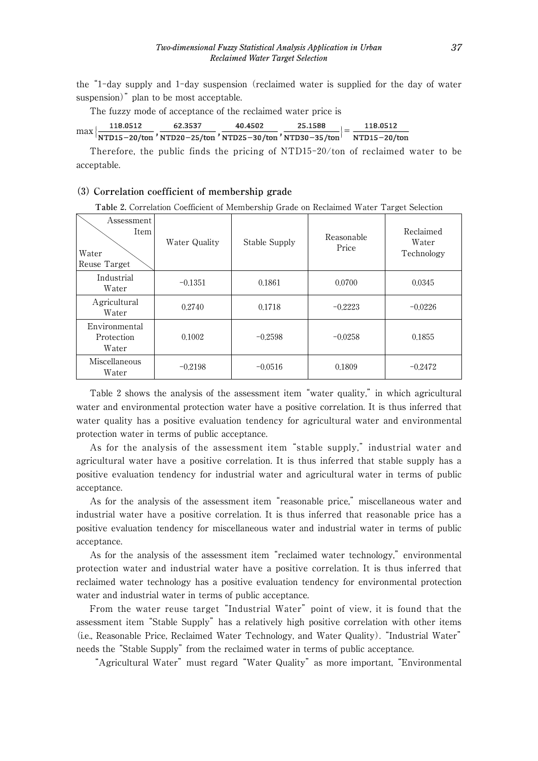the "1-day supply and 1-day suspension (reclaimed water is supplied for the day of water suspension)" plan to be most acceptable.

The fuzzy mode of acceptance of the reclaimed water price is

$$
\max\left\{\frac{118.0512}{\text{NTD15}-20/\text{ton}}, \frac{62.3537}{\text{NTD20}-25/\text{ton}}, \frac{40.4502}{\text{NTD25}-30/\text{ton}}, \frac{25.1588}{\text{NTD30}-35/\text{ton}}\right\} = \frac{118.0512}{\text{NTD15}-20/\text{ton}}
$$

Therefore, the public finds the pricing of NTD15-20/ton of reclaimed water to be acceptable.

# (3) **Correlation coefficient of membership grade**

**Table** 2**.** Correlation Coefficient of Membership Grade on Reclaimed Water Target Selection

| Assessment<br>Item<br>Water<br>Reuse Target | Water Quality | Stable Supply | Reasonable<br>Price | Reclaimed<br>Water<br>Technology |
|---------------------------------------------|---------------|---------------|---------------------|----------------------------------|
| Industrial<br>Water                         | $-0.1351$     | 0.1861        | 0.0700              | 0.0345                           |
| Agricultural<br>Water                       | 0.2740        | 0.1718        | $-0.2223$           | $-0.0226$                        |
| Environmental<br>Protection<br>Water        | 0.1002        | $-0.2598$     | $-0.0258$           | 0.1855                           |
| Miscellaneous<br>Water                      | $-0.2198$     | $-0.0516$     | 0.1809              | $-0.2472$                        |

Table 2 shows the analysis of the assessment item "water quality," in which agricultural water and environmental protection water have a positive correlation. It is thus inferred that water quality has a positive evaluation tendency for agricultural water and environmental protection water in terms of public acceptance.

As for the analysis of the assessment item "stable supply," industrial water and agricultural water have a positive correlation. It is thus inferred that stable supply has a positive evaluation tendency for industrial water and agricultural water in terms of public acceptance.

As for the analysis of the assessment item "reasonable price," miscellaneous water and industrial water have a positive correlation. It is thus inferred that reasonable price has a positive evaluation tendency for miscellaneous water and industrial water in terms of public acceptance.

As for the analysis of the assessment item "reclaimed water technology," environmental protection water and industrial water have a positive correlation. It is thus inferred that reclaimed water technology has a positive evaluation tendency for environmental protection water and industrial water in terms of public acceptance.

From the water reuse target "Industrial Water" point of view, it is found that the assessment item "Stable Supply" has a relatively high positive correlation with other items (i.e., Reasonable Price, Reclaimed Water Technology, and Water Quality). "Industrial Water" needs the "Stable Supply" from the reclaimed water in terms of public acceptance.

"Agricultural Water" must regard "Water Quality" as more important, "Environmental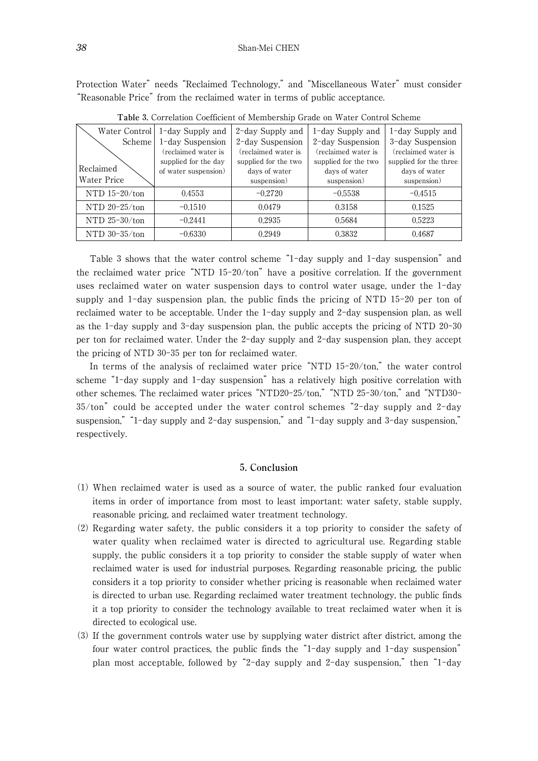Protection Water" needs "Reclaimed Technology," and "Miscellaneous Water" must consider "Reasonable Price" from the reclaimed water in terms of public acceptance.

| Water Control   | 1-day Supply and     | 2-day Supply and     | 1-day Supply and     | 1-day Supply and       |
|-----------------|----------------------|----------------------|----------------------|------------------------|
| Scheme          | 1-day Suspension     | 2-day Suspension     | 2-day Suspension     | 3-day Suspension       |
|                 | (reclaimed water is  | (reclaimed water is  | (reclaimed water is  | (reclaimed water is    |
|                 | supplied for the day | supplied for the two | supplied for the two | supplied for the three |
| Reclaimed       | of water suspension) | days of water        | days of water        | days of water          |
| Water Price     |                      | suspension)          | suspension)          | suspension)            |
| NTD $15-20/ton$ | 0.4553               | $-0.2720$            | $-0.5538$            | $-0.4515$              |
| NTD $20-25/ton$ | $-0.1510$            | 0.0479               | 0.3158               | 0.1525                 |
| NTD $25-30/ton$ | $-0.2441$            | 0.2935               | 0.5684               | 0.5223                 |
| NTD $30-35/ton$ | $-0.6330$            | 0.2949               | 0.3832               | 0.4687                 |

**Table** 3**.** Correlation Coefficient of Membership Grade on Water Control Scheme

Table 3 shows that the water control scheme "1-day supply and 1-day suspension" and the reclaimed water price "NTD 15-20/ton" have a positive correlation. If the government uses reclaimed water on water suspension days to control water usage, under the 1-day supply and 1-day suspension plan, the public finds the pricing of NTD 15-20 per ton of reclaimed water to be acceptable. Under the 1-day supply and 2-day suspension plan, as well as the 1-day supply and 3-day suspension plan, the public accepts the pricing of NTD 20-30 per ton for reclaimed water. Under the 2-day supply and 2-day suspension plan, they accept the pricing of NTD 30-35 per ton for reclaimed water.

In terms of the analysis of reclaimed water price "NTD 15-20/ton," the water control scheme "1-day supply and 1-day suspension" has a relatively high positive correlation with other schemes. The reclaimed water prices "NTD20-25/ton," "NTD 25-30/ton," and "NTD30- 35/ton" could be accepted under the water control schemes "2-day supply and 2-day suspension," "1-day supply and 2-day suspension," and "1-day supply and 3-day suspension," respectively.

## 5**. Conclusion**

- (1) When reclaimed water is used as a source of water, the public ranked four evaluation items in order of importance from most to least important: water safety, stable supply, reasonable pricing, and reclaimed water treatment technology.
- (2) Regarding water safety, the public considers it a top priority to consider the safety of water quality when reclaimed water is directed to agricultural use. Regarding stable supply, the public considers it a top priority to consider the stable supply of water when reclaimed water is used for industrial purposes. Regarding reasonable pricing, the public considers it a top priority to consider whether pricing is reasonable when reclaimed water is directed to urban use. Regarding reclaimed water treatment technology, the public finds it a top priority to consider the technology available to treat reclaimed water when it is directed to ecological use.
- (3) If the government controls water use by supplying water district after district, among the four water control practices, the public finds the "1-day supply and 1-day suspension" plan most acceptable, followed by "2-day supply and 2-day suspension," then "1-day